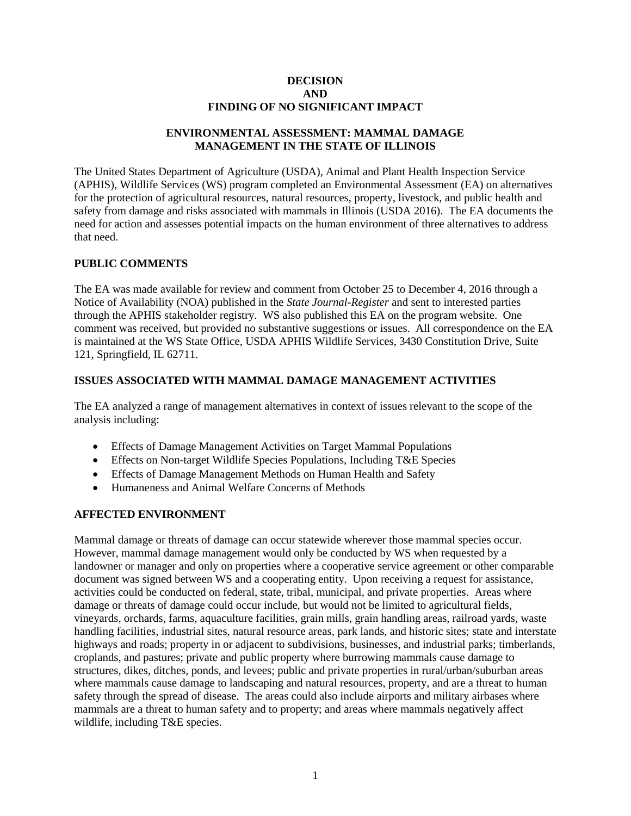#### **DECISION AND FINDING OF NO SIGNIFICANT IMPACT**

## **ENVIRONMENTAL ASSESSMENT: MAMMAL DAMAGE MANAGEMENT IN THE STATE OF ILLINOIS**

The United States Department of Agriculture (USDA), Animal and Plant Health Inspection Service (APHIS), Wildlife Services (WS) program completed an Environmental Assessment (EA) on alternatives for the protection of agricultural resources, natural resources, property, livestock, and public health and safety from damage and risks associated with mammals in Illinois (USDA 2016). The EA documents the need for action and assesses potential impacts on the human environment of three alternatives to address that need.

## **PUBLIC COMMENTS**

The EA was made available for review and comment from October 25 to December 4, 2016 through a Notice of Availability (NOA) published in the *State Journal-Register* and sent to interested parties through the APHIS stakeholder registry. WS also published this EA on the program website. One comment was received, but provided no substantive suggestions or issues. All correspondence on the EA is maintained at the WS State Office, USDA APHIS Wildlife Services, 3430 Constitution Drive, Suite 121, Springfield, IL 62711.

### **ISSUES ASSOCIATED WITH MAMMAL DAMAGE MANAGEMENT ACTIVITIES**

The EA analyzed a range of management alternatives in context of issues relevant to the scope of the analysis including:

- Effects of Damage Management Activities on Target Mammal Populations
- Effects on Non-target Wildlife Species Populations, Including T&E Species
- Effects of Damage Management Methods on Human Health and Safety
- Humaneness and Animal Welfare Concerns of Methods

### **AFFECTED ENVIRONMENT**

Mammal damage or threats of damage can occur statewide wherever those mammal species occur. However, mammal damage management would only be conducted by WS when requested by a landowner or manager and only on properties where a cooperative service agreement or other comparable document was signed between WS and a cooperating entity. Upon receiving a request for assistance, activities could be conducted on federal, state, tribal, municipal, and private properties. Areas where damage or threats of damage could occur include, but would not be limited to agricultural fields, vineyards, orchards, farms, aquaculture facilities, grain mills, grain handling areas, railroad yards, waste handling facilities, industrial sites, natural resource areas, park lands, and historic sites; state and interstate highways and roads; property in or adjacent to subdivisions, businesses, and industrial parks; timberlands, croplands, and pastures; private and public property where burrowing mammals cause damage to structures, dikes, ditches, ponds, and levees; public and private properties in rural/urban/suburban areas where mammals cause damage to landscaping and natural resources, property, and are a threat to human safety through the spread of disease. The areas could also include airports and military airbases where mammals are a threat to human safety and to property; and areas where mammals negatively affect wildlife, including T&E species.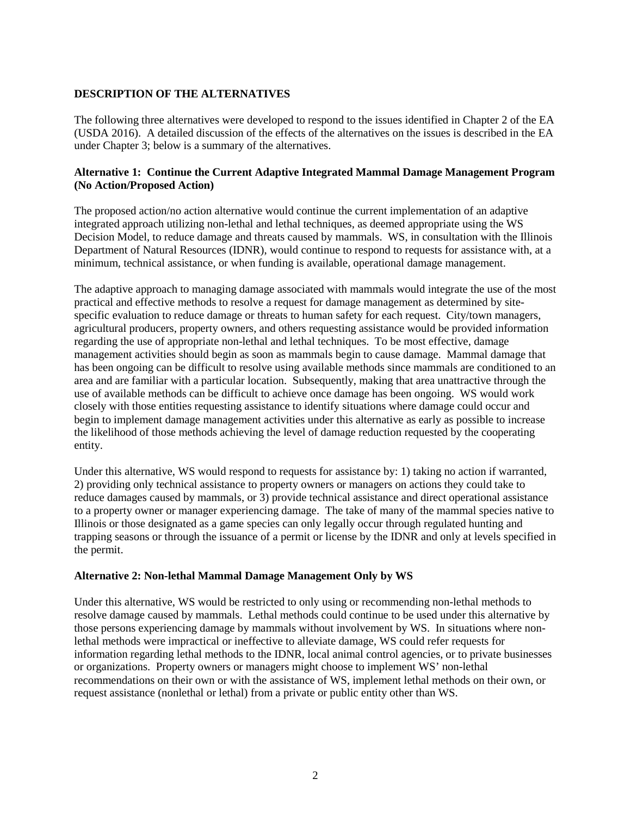# **DESCRIPTION OF THE ALTERNATIVES**

The following three alternatives were developed to respond to the issues identified in Chapter 2 of the EA (USDA 2016). A detailed discussion of the effects of the alternatives on the issues is described in the EA under Chapter 3; below is a summary of the alternatives.

### **Alternative 1: Continue the Current Adaptive Integrated Mammal Damage Management Program (No Action/Proposed Action)**

The proposed action/no action alternative would continue the current implementation of an adaptive integrated approach utilizing non-lethal and lethal techniques, as deemed appropriate using the WS Decision Model, to reduce damage and threats caused by mammals. WS, in consultation with the Illinois Department of Natural Resources (IDNR), would continue to respond to requests for assistance with, at a minimum, technical assistance, or when funding is available, operational damage management.

The adaptive approach to managing damage associated with mammals would integrate the use of the most practical and effective methods to resolve a request for damage management as determined by sitespecific evaluation to reduce damage or threats to human safety for each request. City/town managers, agricultural producers, property owners, and others requesting assistance would be provided information regarding the use of appropriate non-lethal and lethal techniques. To be most effective, damage management activities should begin as soon as mammals begin to cause damage. Mammal damage that has been ongoing can be difficult to resolve using available methods since mammals are conditioned to an area and are familiar with a particular location. Subsequently, making that area unattractive through the use of available methods can be difficult to achieve once damage has been ongoing. WS would work closely with those entities requesting assistance to identify situations where damage could occur and begin to implement damage management activities under this alternative as early as possible to increase the likelihood of those methods achieving the level of damage reduction requested by the cooperating entity.

Under this alternative, WS would respond to requests for assistance by: 1) taking no action if warranted, 2) providing only technical assistance to property owners or managers on actions they could take to reduce damages caused by mammals, or 3) provide technical assistance and direct operational assistance to a property owner or manager experiencing damage. The take of many of the mammal species native to Illinois or those designated as a game species can only legally occur through regulated hunting and trapping seasons or through the issuance of a permit or license by the IDNR and only at levels specified in the permit.

### **Alternative 2: Non-lethal Mammal Damage Management Only by WS**

Under this alternative, WS would be restricted to only using or recommending non-lethal methods to resolve damage caused by mammals. Lethal methods could continue to be used under this alternative by those persons experiencing damage by mammals without involvement by WS. In situations where nonlethal methods were impractical or ineffective to alleviate damage, WS could refer requests for information regarding lethal methods to the IDNR, local animal control agencies, or to private businesses or organizations. Property owners or managers might choose to implement WS' non-lethal recommendations on their own or with the assistance of WS, implement lethal methods on their own, or request assistance (nonlethal or lethal) from a private or public entity other than WS.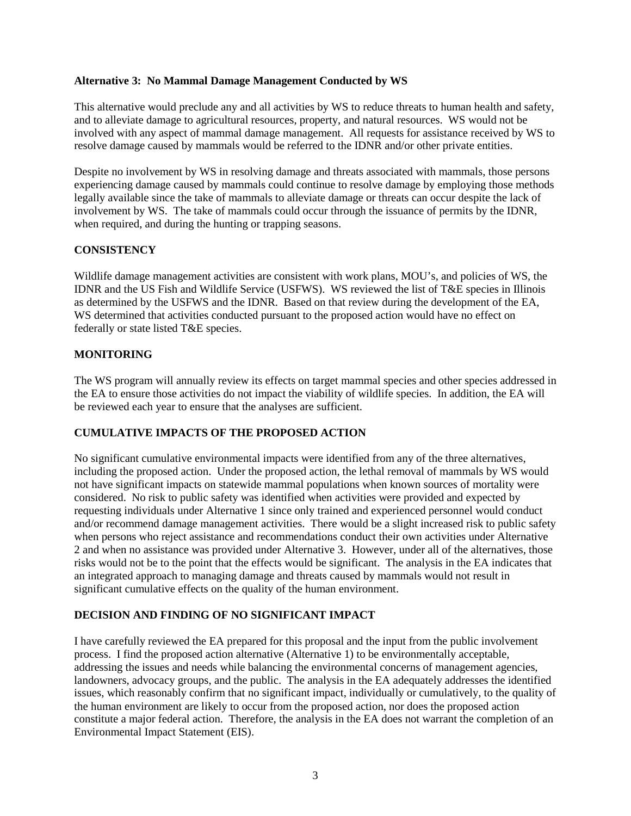#### **Alternative 3: No Mammal Damage Management Conducted by WS**

This alternative would preclude any and all activities by WS to reduce threats to human health and safety, and to alleviate damage to agricultural resources, property, and natural resources. WS would not be involved with any aspect of mammal damage management. All requests for assistance received by WS to resolve damage caused by mammals would be referred to the IDNR and/or other private entities.

Despite no involvement by WS in resolving damage and threats associated with mammals, those persons experiencing damage caused by mammals could continue to resolve damage by employing those methods legally available since the take of mammals to alleviate damage or threats can occur despite the lack of involvement by WS. The take of mammals could occur through the issuance of permits by the IDNR, when required, and during the hunting or trapping seasons.

## **CONSISTENCY**

Wildlife damage management activities are consistent with work plans, MOU's, and policies of WS, the IDNR and the US Fish and Wildlife Service (USFWS). WS reviewed the list of T&E species in Illinois as determined by the USFWS and the IDNR. Based on that review during the development of the EA, WS determined that activities conducted pursuant to the proposed action would have no effect on federally or state listed T&E species.

## **MONITORING**

The WS program will annually review its effects on target mammal species and other species addressed in the EA to ensure those activities do not impact the viability of wildlife species. In addition, the EA will be reviewed each year to ensure that the analyses are sufficient.

### **CUMULATIVE IMPACTS OF THE PROPOSED ACTION**

No significant cumulative environmental impacts were identified from any of the three alternatives, including the proposed action. Under the proposed action, the lethal removal of mammals by WS would not have significant impacts on statewide mammal populations when known sources of mortality were considered. No risk to public safety was identified when activities were provided and expected by requesting individuals under Alternative 1 since only trained and experienced personnel would conduct and/or recommend damage management activities. There would be a slight increased risk to public safety when persons who reject assistance and recommendations conduct their own activities under Alternative 2 and when no assistance was provided under Alternative 3. However, under all of the alternatives, those risks would not be to the point that the effects would be significant. The analysis in the EA indicates that an integrated approach to managing damage and threats caused by mammals would not result in significant cumulative effects on the quality of the human environment.

### **DECISION AND FINDING OF NO SIGNIFICANT IMPACT**

I have carefully reviewed the EA prepared for this proposal and the input from the public involvement process. I find the proposed action alternative (Alternative 1) to be environmentally acceptable, addressing the issues and needs while balancing the environmental concerns of management agencies, landowners, advocacy groups, and the public. The analysis in the EA adequately addresses the identified issues, which reasonably confirm that no significant impact, individually or cumulatively, to the quality of the human environment are likely to occur from the proposed action, nor does the proposed action constitute a major federal action. Therefore, the analysis in the EA does not warrant the completion of an Environmental Impact Statement (EIS).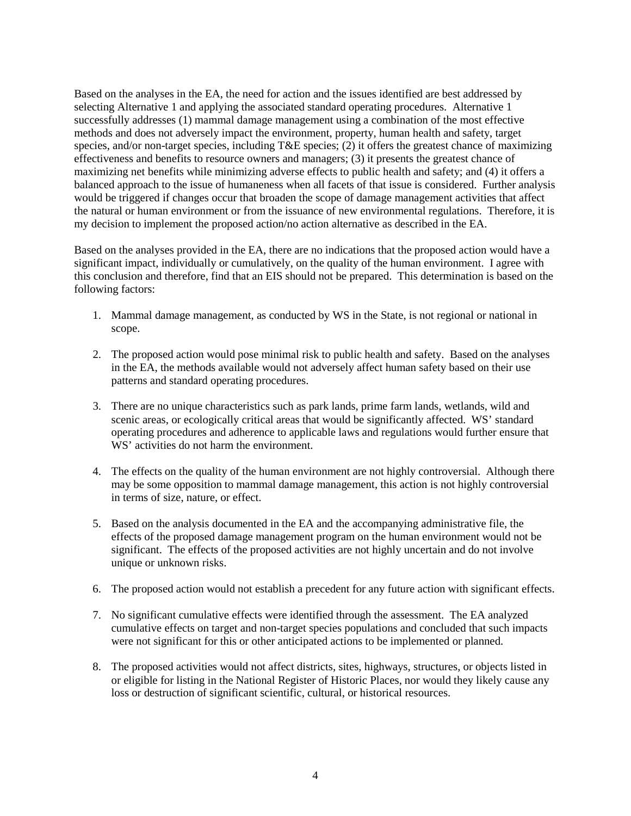Based on the analyses in the EA, the need for action and the issues identified are best addressed by selecting Alternative 1 and applying the associated standard operating procedures. Alternative 1 successfully addresses (1) mammal damage management using a combination of the most effective methods and does not adversely impact the environment, property, human health and safety, target species, and/or non-target species, including T&E species; (2) it offers the greatest chance of maximizing effectiveness and benefits to resource owners and managers; (3) it presents the greatest chance of maximizing net benefits while minimizing adverse effects to public health and safety; and (4) it offers a balanced approach to the issue of humaneness when all facets of that issue is considered. Further analysis would be triggered if changes occur that broaden the scope of damage management activities that affect the natural or human environment or from the issuance of new environmental regulations. Therefore, it is my decision to implement the proposed action/no action alternative as described in the EA.

Based on the analyses provided in the EA, there are no indications that the proposed action would have a significant impact, individually or cumulatively, on the quality of the human environment. I agree with this conclusion and therefore, find that an EIS should not be prepared. This determination is based on the following factors:

- 1. Mammal damage management, as conducted by WS in the State, is not regional or national in scope.
- 2. The proposed action would pose minimal risk to public health and safety. Based on the analyses in the EA, the methods available would not adversely affect human safety based on their use patterns and standard operating procedures.
- 3. There are no unique characteristics such as park lands, prime farm lands, wetlands, wild and scenic areas, or ecologically critical areas that would be significantly affected. WS' standard operating procedures and adherence to applicable laws and regulations would further ensure that WS' activities do not harm the environment.
- 4. The effects on the quality of the human environment are not highly controversial. Although there may be some opposition to mammal damage management, this action is not highly controversial in terms of size, nature, or effect.
- 5. Based on the analysis documented in the EA and the accompanying administrative file, the effects of the proposed damage management program on the human environment would not be significant. The effects of the proposed activities are not highly uncertain and do not involve unique or unknown risks.
- 6. The proposed action would not establish a precedent for any future action with significant effects.
- 7. No significant cumulative effects were identified through the assessment. The EA analyzed cumulative effects on target and non-target species populations and concluded that such impacts were not significant for this or other anticipated actions to be implemented or planned.
- 8. The proposed activities would not affect districts, sites, highways, structures, or objects listed in or eligible for listing in the National Register of Historic Places, nor would they likely cause any loss or destruction of significant scientific, cultural, or historical resources.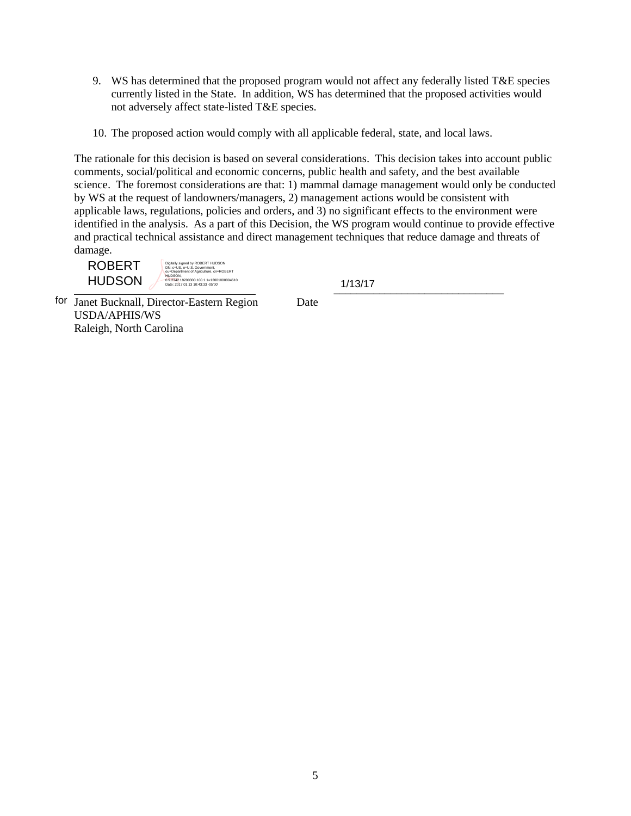- 9. WS has determined that the proposed program would not affect any federally listed T&E species currently listed in the State. In addition, WS has determined that the proposed activities would not adversely affect state-listed T&E species.
- 10. The proposed action would comply with all applicable federal, state, and local laws.

The rationale for this decision is based on several considerations. This decision takes into account public comments, social/political and economic concerns, public health and safety, and the best available science. The foremost considerations are that: 1) mammal damage management would only be conducted by WS at the request of landowners/managers, 2) management actions would be consistent with applicable laws, regulations, policies and orders, and 3) no significant effects to the environment were identified in the analysis. As a part of this Decision, the WS program would continue to provide effective and practical technical assistance and direct management techniques that reduce damage and threats of damage.

ROBERT HUDSON

Digitally signed by ROBERT HUDSON<br>DN: c=US, o=U.S. Government,<br>ou=Department of Agriculture, cn=ROBERT HUDSON, 0.9.242.<br>0.9.2342.19200300.1.00.1.1=12001000004610<br>Date: 2017.01.13 10:43:33 -05'00' 1

 $1/15/11$ 

for Janet Bucknall, Director-Eastern Region Date USDA/APHIS/WS Raleigh, North Carolina